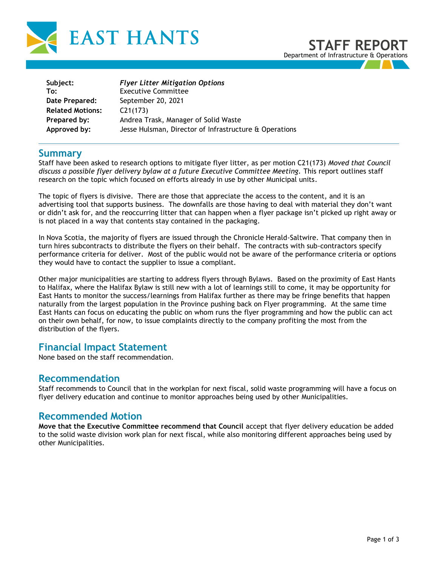

| Subject:                | <b>Flyer Litter Mitigation Options</b>                 |
|-------------------------|--------------------------------------------------------|
| To:                     | <b>Executive Committee</b>                             |
| Date Prepared:          | September 20, 2021                                     |
| <b>Related Motions:</b> | C21(173)                                               |
| Prepared by:            | Andrea Trask, Manager of Solid Waste                   |
| Approved by:            | Jesse Hulsman, Director of Infrastructure & Operations |

## **Summary**

Staff have been asked to research options to mitigate flyer litter, as per motion C21(173) *Moved that Council discuss a possible flyer delivery bylaw at a future Executive Committee Meeting.* This report outlines staff research on the topic which focused on efforts already in use by other Municipal units.

The topic of flyers is divisive. There are those that appreciate the access to the content, and it is an advertising tool that supports business. The downfalls are those having to deal with material they don't want or didn't ask for, and the reoccurring litter that can happen when a flyer package isn't picked up right away or is not placed in a way that contents stay contained in the packaging.

In Nova Scotia, the majority of flyers are issued through the Chronicle Herald-Saltwire. That company then in turn hires subcontracts to distribute the flyers on their behalf. The contracts with sub-contractors specify performance criteria for deliver. Most of the public would not be aware of the performance criteria or options they would have to contact the supplier to issue a compliant.

Other major municipalities are starting to address flyers through Bylaws. Based on the proximity of East Hants to Halifax, where the Halifax Bylaw is still new with a lot of learnings still to come, it may be opportunity for East Hants to monitor the success/learnings from Halifax further as there may be fringe benefits that happen naturally from the largest population in the Province pushing back on Flyer programming. At the same time East Hants can focus on educating the public on whom runs the flyer programming and how the public can act on their own behalf, for now, to issue complaints directly to the company profiting the most from the distribution of the flyers.

# **Financial Impact Statement**

None based on the staff recommendation.

## **Recommendation**

Staff recommends to Council that in the workplan for next fiscal, solid waste programming will have a focus on flyer delivery education and continue to monitor approaches being used by other Municipalities.

# **Recommended Motion**

**Move that the Executive Committee recommend that Council** accept that flyer delivery education be added to the solid waste division work plan for next fiscal, while also monitoring different approaches being used by other Municipalities.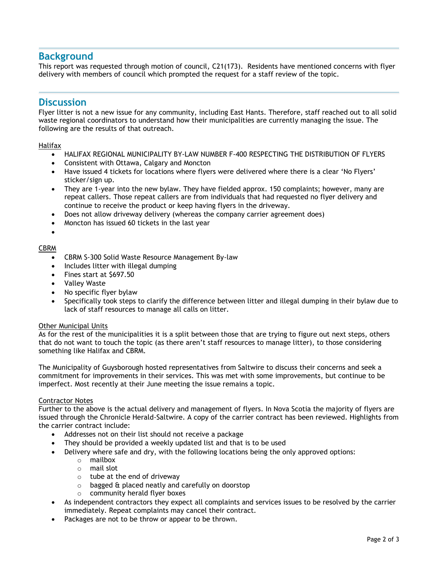# **Background**

This report was requested through motion of council, C21(173). Residents have mentioned concerns with flyer delivery with members of council which prompted the request for a staff review of the topic.

## **Discussion**

Flyer litter is not a new issue for any community, including East Hants. Therefore, staff reached out to all solid waste regional coordinators to understand how their municipalities are currently managing the issue. The following are the results of that outreach.

#### Halifax

- HALIFAX REGIONAL MUNICIPALITY BY-LAW NUMBER F-400 RESPECTING THE DISTRIBUTION OF FLYERS
- Consistent with Ottawa, Calgary and Moncton
- Have issued 4 tickets for locations where flyers were delivered where there is a clear 'No Flyers' sticker/sign up.
- They are 1-year into the new bylaw. They have fielded approx. 150 complaints; however, many are repeat callers. Those repeat callers are from individuals that had requested no flyer delivery and continue to receive the product or keep having flyers in the driveway.
- Does not allow driveway delivery (whereas the company carrier agreement does)
- Moncton has issued 60 tickets in the last year
- •

#### CBRM

- CBRM S-300 Solid Waste Resource Management By-law
- Includes litter with illegal dumping
- Fines start at \$697.50
- Valley Waste
- No specific flyer bylaw
- Specifically took steps to clarify the difference between litter and illegal dumping in their bylaw due to lack of staff resources to manage all calls on litter.

#### Other Municipal Units

As for the rest of the municipalities it is a split between those that are trying to figure out next steps, others that do not want to touch the topic (as there aren't staff resources to manage litter), to those considering something like Halifax and CBRM.

The Municipality of Guysborough hosted representatives from Saltwire to discuss their concerns and seek a commitment for improvements in their services. This was met with some improvements, but continue to be imperfect. Most recently at their June meeting the issue remains a topic.

#### Contractor Notes

Further to the above is the actual delivery and management of flyers. In Nova Scotia the majority of flyers are issued through the Chronicle Herald-Saltwire. A copy of the carrier contract has been reviewed. Highlights from the carrier contract include:

- Addresses not on their list should not receive a package
- They should be provided a weekly updated list and that is to be used
- Delivery where safe and dry, with the following locations being the only approved options:
	- o mailbox
	- o mail slot
	- o tube at the end of driveway
	- o bagged & placed neatly and carefully on doorstop
	- o community herald flyer boxes
- As independent contractors they expect all complaints and services issues to be resolved by the carrier immediately. Repeat complaints may cancel their contract.
- Packages are not to be throw or appear to be thrown.